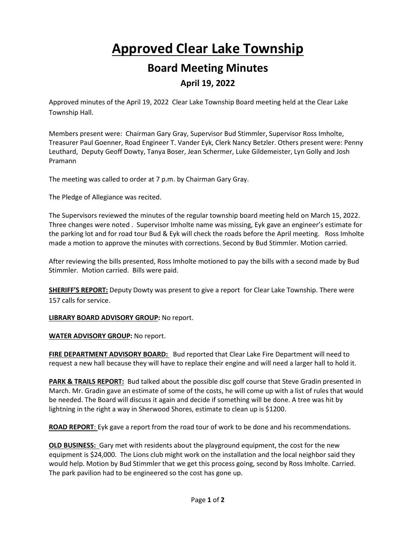## **Approved Clear Lake Township Board Meeting Minutes**

## **April 19, 2022**

Approved minutes of the April 19, 2022 Clear Lake Township Board meeting held at the Clear Lake Township Hall.

Members present were: Chairman Gary Gray, Supervisor Bud Stimmler, Supervisor Ross Imholte, Treasurer Paul Goenner, Road Engineer T. Vander Eyk, Clerk Nancy Betzler. Others present were: Penny Leuthard, Deputy Geoff Dowty, Tanya Boser, Jean Schermer, Luke Gildemeister, Lyn Golly and Josh Pramann

The meeting was called to order at 7 p.m. by Chairman Gary Gray.

The Pledge of Allegiance was recited.

The Supervisors reviewed the minutes of the regular township board meeting held on March 15, 2022. Three changes were noted . Supervisor Imholte name was missing, Eyk gave an engineer's estimate for the parking lot and for road tour Bud & Eyk will check the roads before the April meeting. Ross Imholte made a motion to approve the minutes with corrections. Second by Bud Stimmler. Motion carried.

After reviewing the bills presented, Ross Imholte motioned to pay the bills with a second made by Bud Stimmler. Motion carried. Bills were paid.

**SHERIFF'S REPORT:** Deputy Dowty was present to give a report for Clear Lake Township. There were 157 calls for service.

**LIBRARY BOARD ADVISORY GROUP:** No report.

**WATER ADVISORY GROUP:** No report.

**FIRE DEPARTMENT ADVISORY BOARD:** Bud reported that Clear Lake Fire Department will need to request a new hall because they will have to replace their engine and will need a larger hall to hold it.

**PARK & TRAILS REPORT:** Bud talked about the possible disc golf course that Steve Gradin presented in March. Mr. Gradin gave an estimate of some of the costs, he will come up with a list of rules that would be needed. The Board will discuss it again and decide if something will be done. A tree was hit by lightning in the right a way in Sherwood Shores, estimate to clean up is \$1200.

**ROAD REPORT**: Eyk gave a report from the road tour of work to be done and his recommendations.

**OLD BUSINESS:** Gary met with residents about the playground equipment, the cost for the new equipment is \$24,000. The Lions club might work on the installation and the local neighbor said they would help. Motion by Bud Stimmler that we get this process going, second by Ross Imholte. Carried. The park pavilion had to be engineered so the cost has gone up.